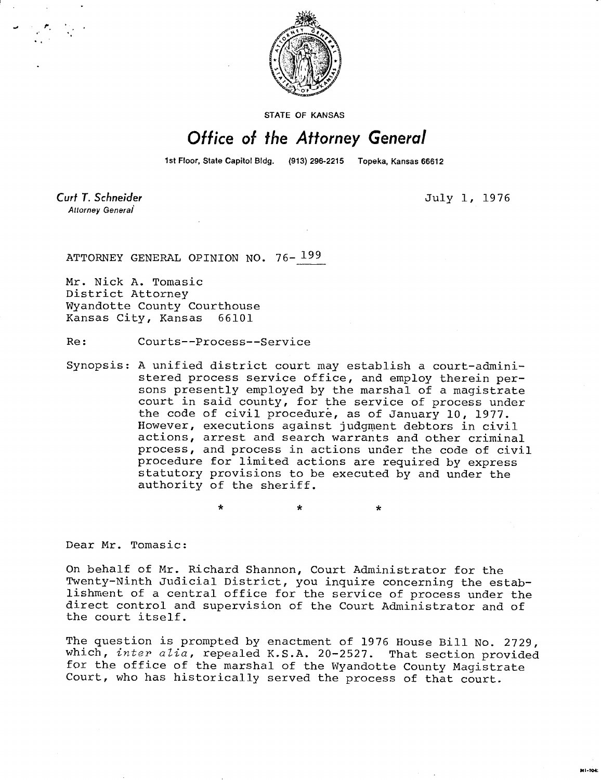

**STATE OF KANSAS** 

## Office of the Attorney General

1st Floor, State Capitol Bldg. (913) 296-2215 Topeka, Kansas 66612

Curt T. Schneider Attorney General

July 1, 1976

ATTORNEY GENERAL OPINION NO. 76-199

Mr. Nick A. Tomasic District Attorney Wyandotte County Courthouse Kansas City, Kansas 66101

Re: Courts--Process--Service

 $\star$ 

Synopsis: A unified district court may establish a court-administered process service office, and employ therein persons presently employed by the marshal of a magistrate court in said county, for the service of process under the code of civil procedure, as of January 10, 1977. However, executions against judgment debtors in civil actions, arrest and search warrants and other criminal process, and process in actions under the code of civil procedure for limited actions are required by express statutory provisions to be executed by and under the authority of the sheriff.

Dear Mr. Tomasic:

On behalf of Mr. Richard Shannon, Court Administrator for the Twenty-Ninth Judicial District, you inquire concerning the establishment of a central office for the service of process under the direct control and supervision of the Court Administrator and of the court itself.

The question is prompted by enactment of 1976 House Bill No. 2729, which, inter alia, repealed K.S.A. 20-2527. That section provided for the office of the marshal of the Wyandotte County Magistrate Court, who has historically served the process of that court.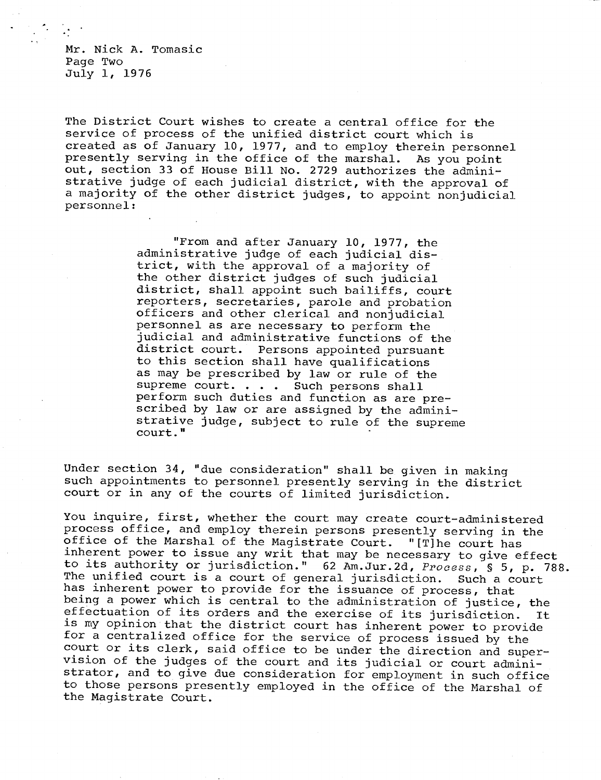Mr. Nick A. Tomasic Page Two July 1, 1976

The District Court wishes to create a central office for the service of process of the unified district court which is created as of January 10, 1977, and to employ therein personnel presently serving in the office of the marshal. As you point out, section 33 of House Bill No. 2729 authorizes the administrative judge of each judicial district, with the approval of a majority of the other district judges, to appoint nonjudicial personnel:

> "From and after January 10, 1977, the administrative judge of each judicial district, with the approval of a majority of the other district judges of such judicial district, shall appoint such bailiffs, court reporters, secretaries, parole and probation officers and other clerical and nonjudicial personnel as are necessary to perform the judicial and administrative functions of the district court. Persons appointed pursuant to this section shall have qualifications as may be prescribed by law or rule of the supreme court. . . . Such persons shall perform such duties and function as are prescribed by law or are assigned by the administrative judge, subject to rule of the supreme court."

Under section 34, "due consideration" shall be given in making such appointments to personnel presently serving in the district court or in any of the courts of limited jurisdiction.

You inquire, first, whether the court may create court-administered process office, and employ therein persons presently serving in the office of the Marshal of the Magistrate Court. "[T] he court has inherent power to issue any writ that may be necessary to give effect to its authority or jurisdiction." 62 Am.Jur.2d, Process, § 5, p. 788.<br>The unified court is a court of general jurisdiction. Such a court The unified court is a court of general jurisdiction. has inherent power to provide for the issuance of process, that being a power which is central to the administration of justice, the effectuation of its orders and the exercise of its jurisdiction. It is my opinion that the district court has inherent power to provide for a centralized office for the service of process issued by the court or its clerk, said office to be under the direction and supervision of the judges of the court and its judicial or court administrator, and to give due consideration for employment in such office to those persons presently employed in the office of the Marshal of the Magistrate Court.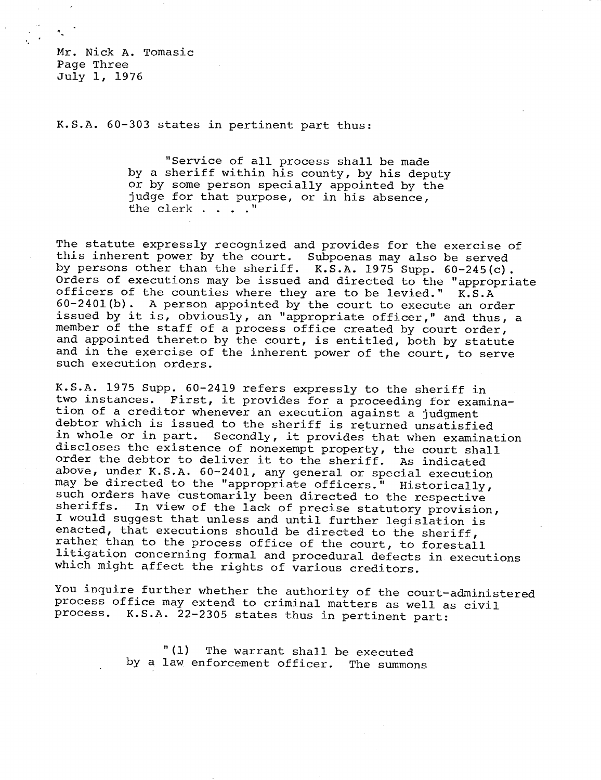Mr. Nick A. Tomasic Page Three July 1, 1976

K.S.A. 60-303 states in pertinent part thus:

"Service of all process shall be made by a sheriff within his county, by his deputy or by some person specially appointed by the judge for that purpose, or in his absence, the clerk . . . ."

The statute expressly recognized and provides for the exercise of this inherent power by the court. Subpoenas may also be served by persons other than the sheriff. K.S.A. 1975 Supp. 60-245(c). Orders of executions may be issued and directed to the "appropriate officers of the counties where they are to be levied." K.S.A 60-2401(b). A person appointed by the court to execute an order issued by it is, obviously, an "appropriate officer," and thus, a member of the staff of a process office created by court order, and appointed thereto by the court, is entitled, both by statute and in the exercise of the inherent power of the court, to serve such execution orders.

K.S.A. 1975 Supp. 60-2419 refers expressly to the sheriff in two instances. First, it provides for a proceeding for examination of a creditor whenever an execution against a judgment debtor which is issued to the sheriff is returned unsatisfied in whole or in part. Secondly, it provides that when examination discloses the existence of nonexempt property, the court shall order the debtor to deliver it to the sheriff. As indicated above, under K.S.A. 60-2401, any general or special execution may be directed to the "appropriate officers." Historically, such orders have customarily been directed to the respective<br>sheriffs. In view of the lack of precise statutory provision In view of the lack of precise statutory provision, I would suggest that unless and until further legislation is enacted, that executions should be directed to the sheriff, rather than to the process office of the court, to forestall litigation concerning formal and procedural defects in executions which might affect the rights of various creditors.

You inquire further whether the authority of the court-administered process office may extend to criminal matters as well as civil process. K.S.A. 22-2305 states thus in pertinent part:

> "(1) The warrant shall be executed by a law enforcement officer. The summons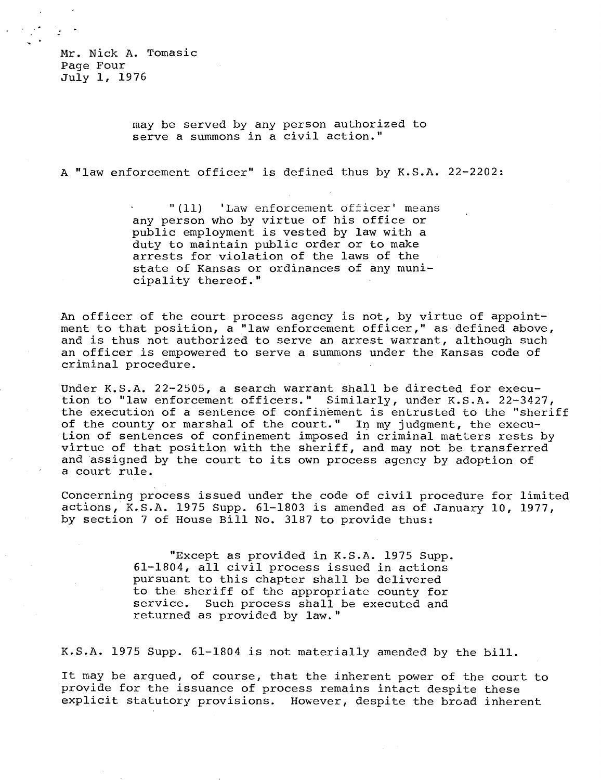Mr. Nick A. Tomasic Page Four July 1, 1976

> may be served by any person authorized to serve a summons in a civil action."

A "law enforcement officer" is defined thus by K.S.A. 22-2202:

"(11) 'Law enforcement officer' means any person who by virtue of his office or public employment is vested by law with a duty to maintain public order or to make arrests for violation of the laws of the state of Kansas or ordinances of any municipality thereof."

An officer of the court process agency is not, by virtue of appointment to that position, a "law enforcement officer," as defined above, and is thus not authorized to serve an arrest warrant, although such an officer is empowered to serve a summons under the Kansas code of criminal procedure.

Under K.S.A. 22-2505, a search warrant shall be directed for execution to "law enforcement officers." Similarly, under K.S.A. 22-3427, the execution of a sentence of confinement is entrusted to the "sheriff of the county or marshal of the court." In my judgment, the execution of sentences of confinement imposed in criminal matters rests by virtue of that position with the sheriff, and may not be transferred and assigned by the court to its own process agency by adoption of a court rule.

Concerning process issued under the code of civil procedure for limited actions, K.S.A. 1975 Supp. 61-1803 is amended as of January 10, 1977, by section 7 of House Bill No. 3187 to provide thus:

> "Except as provided in K.S.A. 1975 Supp. 61-1804, all civil process issued in actions pursuant to this chapter shall be delivered to the sheriff of the appropriate county for service. Such process shall be executed and returned as provided by law."

K.S.A. 1975 Supp. 61-1804 is not materially amended by the bill.

It may be argued, of course, that the inherent power of the court to provide for the issuance of process remains intact despite these explicit statutory provisions. However, despite the broad inherent